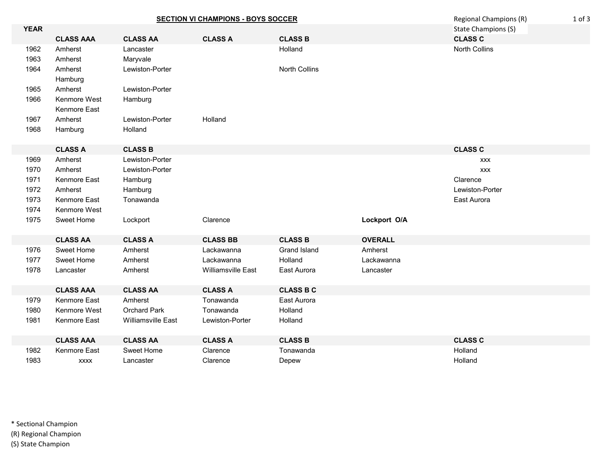|             | <b>SECTION VI CHAMPIONS - BOYS SOCCER</b> |                           |                    |                  |                     | Regional Champions (R) | $1$ of $3$ |
|-------------|-------------------------------------------|---------------------------|--------------------|------------------|---------------------|------------------------|------------|
| <b>YEAR</b> |                                           |                           |                    |                  | State Champions (S) |                        |            |
|             | <b>CLASS AAA</b>                          | <b>CLASS AA</b>           | <b>CLASS A</b>     | <b>CLASS B</b>   |                     | <b>CLASS C</b>         |            |
| 1962        | Amherst                                   | Lancaster                 |                    | Holland          |                     | <b>North Collins</b>   |            |
| 1963        | Amherst                                   | Maryvale                  |                    |                  |                     |                        |            |
| 1964        | Amherst                                   | Lewiston-Porter           |                    | North Collins    |                     |                        |            |
|             | Hamburg                                   |                           |                    |                  |                     |                        |            |
| 1965        | Amherst                                   | Lewiston-Porter           |                    |                  |                     |                        |            |
| 1966        | Kenmore West                              | Hamburg                   |                    |                  |                     |                        |            |
|             | Kenmore East                              |                           |                    |                  |                     |                        |            |
| 1967        | Amherst                                   | Lewiston-Porter           | Holland            |                  |                     |                        |            |
| 1968        | Hamburg                                   | Holland                   |                    |                  |                     |                        |            |
|             |                                           |                           |                    |                  |                     |                        |            |
|             | <b>CLASS A</b>                            | <b>CLASS B</b>            |                    |                  |                     | <b>CLASS C</b>         |            |
| 1969        | Amherst                                   | Lewiston-Porter           |                    |                  |                     | <b>XXX</b>             |            |
| 1970        | Amherst                                   | Lewiston-Porter           |                    |                  |                     | <b>XXX</b>             |            |
| 1971        | Kenmore East                              | Hamburg                   |                    |                  |                     | Clarence               |            |
| 1972        | Amherst                                   | Hamburg                   |                    |                  |                     | Lewiston-Porter        |            |
| 1973        | Kenmore East                              | Tonawanda                 |                    |                  |                     | East Aurora            |            |
| 1974        | Kenmore West                              |                           |                    |                  |                     |                        |            |
| 1975        | Sweet Home                                | Lockport                  | Clarence           |                  | Lockport O/A        |                        |            |
|             |                                           |                           |                    |                  |                     |                        |            |
|             | <b>CLASS AA</b>                           | <b>CLASS A</b>            | <b>CLASS BB</b>    | <b>CLASS B</b>   | <b>OVERALL</b>      |                        |            |
| 1976        | Sweet Home                                | Amherst                   | Lackawanna         | Grand Island     | Amherst             |                        |            |
| 1977        | Sweet Home                                | Amherst                   | Lackawanna         | Holland          | Lackawanna          |                        |            |
| 1978        | Lancaster                                 | Amherst                   | Williamsville East | East Aurora      | Lancaster           |                        |            |
|             |                                           |                           |                    |                  |                     |                        |            |
|             | <b>CLASS AAA</b>                          | <b>CLASS AA</b>           | <b>CLASS A</b>     | <b>CLASS B C</b> |                     |                        |            |
| 1979        | Kenmore East                              | Amherst                   | Tonawanda          | East Aurora      |                     |                        |            |
| 1980        | Kenmore West                              | <b>Orchard Park</b>       | Tonawanda          | Holland          |                     |                        |            |
| 1981        | Kenmore East                              | <b>Williamsville East</b> | Lewiston-Porter    | Holland          |                     |                        |            |
|             | <b>CLASS AAA</b>                          | <b>CLASS AA</b>           | <b>CLASS A</b>     | <b>CLASS B</b>   |                     | <b>CLASS C</b>         |            |
| 1982        | Kenmore East                              | Sweet Home                | Clarence           | Tonawanda        |                     | Holland                |            |
| 1983        | <b>XXXX</b>                               | Lancaster                 | Clarence           | Depew            |                     | Holland                |            |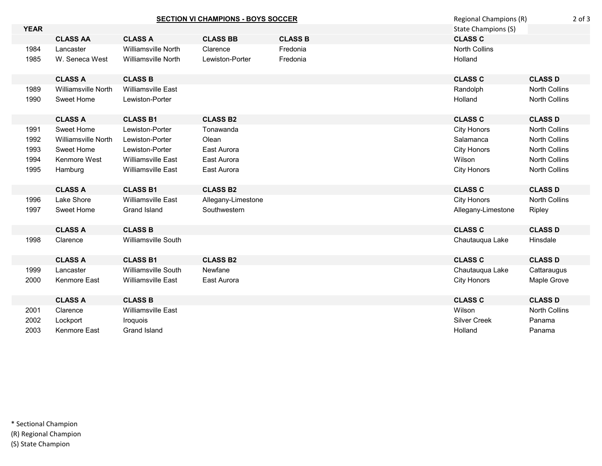|             | <b>SECTION VI CHAMPIONS - BOYS SOCCER</b> |                            |                    | Regional Champions (R)<br>$2$ of $3$ |                            |                      |
|-------------|-------------------------------------------|----------------------------|--------------------|--------------------------------------|----------------------------|----------------------|
| <b>YEAR</b> |                                           |                            |                    |                                      | <b>State Champions (S)</b> |                      |
|             | <b>CLASS AA</b>                           | <b>CLASS A</b>             | <b>CLASS BB</b>    | <b>CLASS B</b>                       | <b>CLASS C</b>             |                      |
| 1984        | Lancaster                                 | <b>Williamsville North</b> | Clarence           | Fredonia                             | <b>North Collins</b>       |                      |
| 1985        | W. Seneca West                            | <b>Williamsville North</b> | Lewiston-Porter    | Fredonia                             | Holland                    |                      |
|             | <b>CLASS A</b>                            | <b>CLASS B</b>             |                    |                                      | <b>CLASS C</b>             | <b>CLASS D</b>       |
| 1989        | <b>Williamsville North</b>                | <b>Williamsville East</b>  |                    |                                      | Randolph                   | <b>North Collins</b> |
| 1990        | Sweet Home                                | Lewiston-Porter            |                    |                                      | Holland                    | <b>North Collins</b> |
|             | <b>CLASS A</b>                            | <b>CLASS B1</b>            | <b>CLASS B2</b>    |                                      | <b>CLASS C</b>             | <b>CLASS D</b>       |
| 1991        | Sweet Home                                | Lewiston-Porter            | Tonawanda          |                                      | <b>City Honors</b>         | <b>North Collins</b> |
| 1992        | <b>Williamsville North</b>                | Lewiston-Porter            | Olean              |                                      | Salamanca                  | <b>North Collins</b> |
| 1993        | Sweet Home                                | Lewiston-Porter            | East Aurora        |                                      | <b>City Honors</b>         | North Collins        |
| 1994        | Kenmore West                              | <b>Williamsville East</b>  | East Aurora        |                                      | Wilson                     | North Collins        |
| 1995        | Hamburg                                   | Williamsville East         | East Aurora        |                                      | <b>City Honors</b>         | North Collins        |
|             | <b>CLASS A</b>                            | <b>CLASS B1</b>            | <b>CLASS B2</b>    |                                      | <b>CLASS C</b>             | <b>CLASS D</b>       |
| 1996        | Lake Shore                                | <b>Williamsville East</b>  | Allegany-Limestone |                                      | <b>City Honors</b>         | <b>North Collins</b> |
| 1997        | Sweet Home                                | Grand Island               | Southwestern       |                                      | Allegany-Limestone         | Ripley               |
|             | <b>CLASS A</b>                            | <b>CLASS B</b>             |                    |                                      | <b>CLASS C</b>             | <b>CLASS D</b>       |
| 1998        | Clarence                                  | Williamsville South        |                    |                                      | Chautauqua Lake            | Hinsdale             |
|             | <b>CLASS A</b>                            | <b>CLASS B1</b>            | <b>CLASS B2</b>    |                                      | <b>CLASS C</b>             | <b>CLASS D</b>       |
| 1999        | Lancaster                                 | Williamsville South        | Newfane            |                                      | Chautauqua Lake            | Cattaraugus          |
| 2000        | Kenmore East                              | <b>Williamsville East</b>  | East Aurora        |                                      | <b>City Honors</b>         | Maple Grove          |
|             | <b>CLASS A</b>                            | <b>CLASS B</b>             |                    |                                      | <b>CLASS C</b>             | <b>CLASS D</b>       |
| 2001        | Clarence                                  | <b>Williamsville East</b>  |                    |                                      | Wilson                     | <b>North Collins</b> |
| 2002        | Lockport                                  | <b>Iroquois</b>            |                    |                                      | <b>Silver Creek</b>        | Panama               |
| 2003        | Kenmore East                              | <b>Grand Island</b>        |                    |                                      | Holland                    | Panama               |